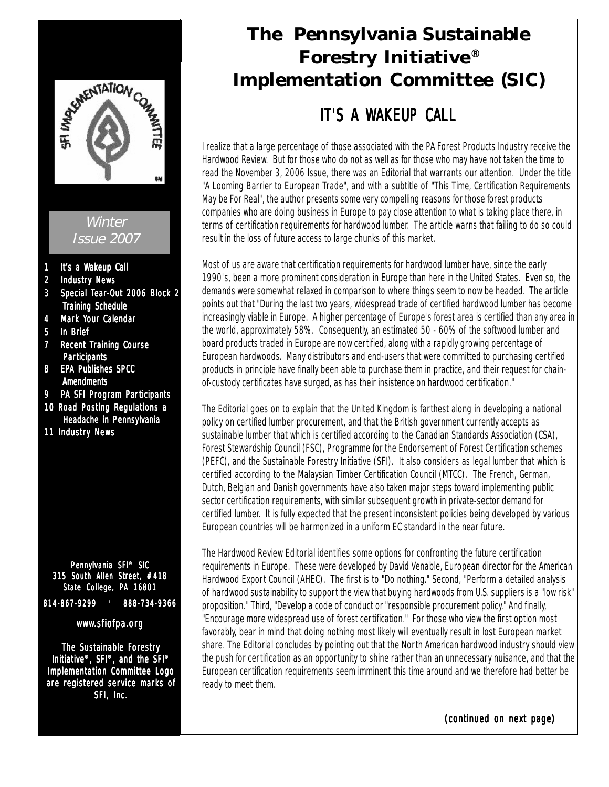

**Winter** Issue 2007

- 1 It's a Wakeup Call
- 2 Industry News
- 3 Special Tear-Out 2006 Block 2 Training Schedule
- 4 Mark Your Calendar
- 5 In Brief
- 7 Recent Training Course **Participants**
- 8 EPA Publishes SPCC **Amendments**
- 9 PA SFI Program Participants
- 10 Road Posting Regulations a Headache in Pennsylvania
- 11 Industry News

Pennylvania SFI® SIC 315 South Allen Street, #418 State College, PA 16801 814-867-9299 814-867-9299 l 888-734-9366

#### www.sfiofpa.org

The Sustainable Forestry Initiative®, SFI®, and the SFI® Implementation Committee Logo are registered service marks of SFI, Inc.

# **The Pennsylvania Sustainable Forestry Initiative® Implementation Committee (SIC)**

# IT'S A WAKFUP CALL

I realize that a large percentage of those associated with the PA Forest Products Industry receive the Hardwood Review. But for those who do not as well as for those who may have not taken the time to read the November 3, 2006 Issue, there was an Editorial that warrants our attention. Under the title "A Looming Barrier to European Trade", and with a subtitle of "This Time, Certification Requirements May be For Real", the author presents some very compelling reasons for those forest products companies who are doing business in Europe to pay close attention to what is taking place there, in terms of certification requirements for hardwood lumber. The article warns that failing to do so could result in the loss of future access to large chunks of this market.

Most of us are aware that certification requirements for hardwood lumber have, since the early 1990's, been a more prominent consideration in Europe than here in the United States. Even so, the demands were somewhat relaxed in comparison to where things seem to now be headed. The article points out that "During the last two years, widespread trade of certified hardwood lumber has become increasingly viable in Europe. A higher percentage of Europe's forest area is certified than any area in the world, approximately 58%. Consequently, an estimated 50 - 60% of the softwood lumber and board products traded in Europe are now certified, along with a rapidly growing percentage of European hardwoods. Many distributors and end-users that were committed to purchasing certified products in principle have finally been able to purchase them in practice, and their request for chainof-custody certificates have surged, as has their insistence on hardwood certification."

The Editorial goes on to explain that the United Kingdom is farthest along in developing a national policy on certified lumber procurement, and that the British government currently accepts as sustainable lumber that which is certified according to the Canadian Standards Association (CSA), Forest Stewardship Council (FSC), Programme for the Endorsement of Forest Certification schemes (PEFC), and the Sustainable Forestry Initiative (SFI). It also considers as legal lumber that which is certified according to the Malaysian Timber Certification Council (MTCC). The French, German, Dutch, Belgian and Danish governments have also taken major steps toward implementing public sector certification requirements, with similar subsequent growth in private-sector demand for certified lumber. It is fully expected that the present inconsistent policies being developed by various European countries will be harmonized in a uniform EC standard in the near future.

The Hardwood Review Editorial identifies some options for confronting the future certification requirements in Europe. These were developed by David Venable, European director for the American Hardwood Export Council (AHEC). The first is to "Do nothing." Second, "Perform a detailed analysis of hardwood sustainability to support the view that buying hardwoods from U.S. suppliers is a "low risk" proposition." Third, "Develop a code of conduct or "responsible procurement policy." And finally, "Encourage more widespread use of forest certification." For those who view the first option most favorably, bear in mind that doing nothing most likely will eventually result in lost European market share. The Editorial concludes by pointing out that the North American hardwood industry should view the push for certification as an opportunity to shine rather than an unnecessary nuisance, and that the European certification requirements seem imminent this time around and we therefore had better be ready to meet them.

(continued on next page)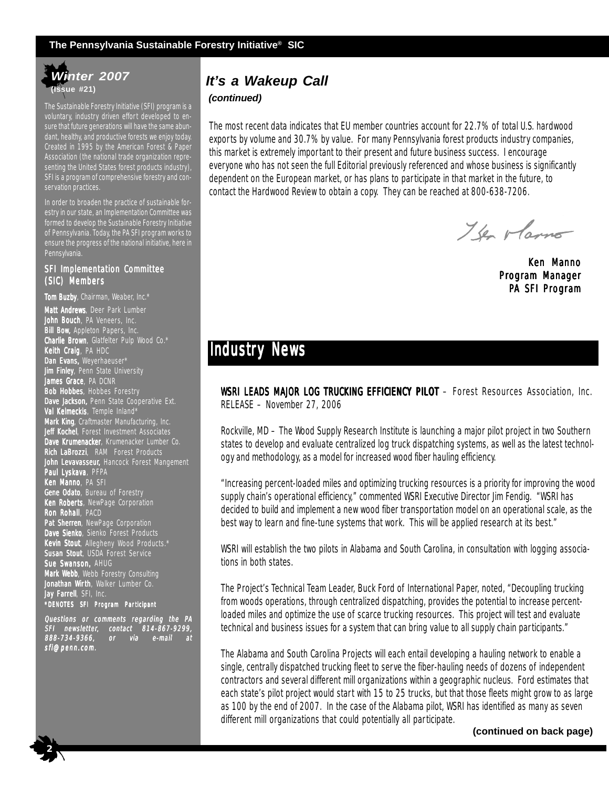#### **The Pennsylvania Sustainable Forestry Initiative® SIC**

## *Winter 2007* **(Issue #21)**

The Sustainable Forestry Initiative (SFI) program is a voluntary, industry driven effort developed to ensure that future generations will have the same abundant, healthy, and productive forests we enjoy today. Created in 1995 by the American Forest & Paper Association (the national trade organization representing the United States forest products industry), SFI is a program of comprehensive forestry and conservation practices.

In order to broaden the practice of sustainable forestry in our state, an Implementation Committee was formed to develop the Sustainable Forestry Initiative of Pennsylvania. Today, the PA SFI program works to ensure the progress of the national initiative, here in Pennsylvania.

#### SFI Implementation Committee (SIC) Members

Tom Buzby, Chairman, Weaber, Inc.\* Matt Andrews, Deer Park Lumber **John Bouch**, PA Veneers, Inc. **Bill Bow,** Appleton Papers, Inc. Charlie Brown, Glatfelter Pulp Wood Co.\* Keith Craig, PA HDC Dan Evans, Weyerhaeuser\* **Jim Finley**, Penn State University **James Grace**, PA DCNR Bob Hobbes, Hobbes Forestry Dave Jackson, Penn State Cooperative Ext. Val Kelmeckis, Temple Inland\* Mark King, Craftmaster Manufacturing, Inc. Jeff Kochel, Forest Investment Associates Dave Krumenacker, Krumenacker Lumber Co. Rich LaBrozzi, RAM Forest Products John Levavasseur, Hancock Forest Mangement **Paul Lyskava**, PFPA **Ken Manno**, PA SFI Gene Odato, Bureau of Forestry Ken Roberts, NewPage Corporation **Ron Rohall**, PACD Pat Sherren, NewPage Corporation Dave Sienko, Sienko Forest Products Kevin Stout, Allegheny Wood Products.\* Susan Stout, USDA Forest Service Sue Swanson, AHUG Mark Webb, Webb Forestry Consulting Jonathan Wirth, Walker Lumber Co. Jay Farrell, SFI, Inc. \*DENOTES SFI Program Par ticipant

Questions or comments regarding the PA SFI newsletter, contact 814-867-9299, 814-867-9299, 888-734-9366, or via e-mail at sfi@penn.com.

 **2**

## *It's a Wakeup Call*

#### *(continued)*

The most recent data indicates that EU member countries account for 22.7% of total U.S. hardwood exports by volume and 30.7% by value. For many Pennsylvania forest products industry companies, this market is extremely important to their present and future business success. I encourage everyone who has not seen the full Editorial previously referenced and whose business is significantly dependent on the European market, or has plans to participate in that market in the future, to contact the Hardwood Review to obtain a copy. They can be reached at 800-638-7206.

The Marno

Ken Manno Program Manager PA SFI Program

## **Industry News**

WSRI LEADS MAJOR LOG TRUCKING EFFICIENCY PILOT - Forest Resources Association, Inc. RELEASE – November 27, 2006

Rockville, MD – The Wood Supply Research Institute is launching a major pilot project in two Southern states to develop and evaluate centralized log truck dispatching systems, as well as the latest technology and methodology, as a model for increased wood fiber hauling efficiency.

"Increasing percent-loaded miles and optimizing trucking resources is a priority for improving the wood supply chain's operational efficiency," commented WSRI Executive Director Jim Fendig. "WSRI has decided to build and implement a new wood fiber transportation model on an operational scale, as the best way to learn and fine-tune systems that work. This will be applied research at its best."

WSRI will establish the two pilots in Alabama and South Carolina, in consultation with logging associations in both states.

The Project's Technical Team Leader, Buck Ford of International Paper, noted, "Decoupling trucking from woods operations, through centralized dispatching, provides the potential to increase percentloaded miles and optimize the use of scarce trucking resources. This project will test and evaluate technical and business issues for a system that can bring value to all supply chain participants."

The Alabama and South Carolina Projects will each entail developing a hauling network to enable a single, centrally dispatched trucking fleet to serve the fiber-hauling needs of dozens of independent contractors and several different mill organizations within a geographic nucleus. Ford estimates that each state's pilot project would start with 15 to 25 trucks, but that those fleets might grow to as large as 100 by the end of 2007. In the case of the Alabama pilot, WSRI has identified as many as seven different mill organizations that could potentially all participate.

**(continued on back page)**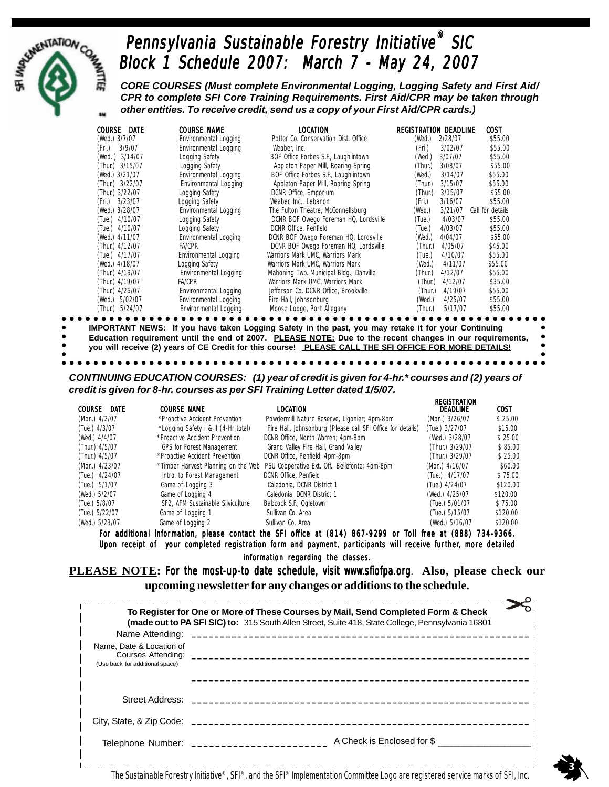

# Pennsylvania Sustainable Forestry Initiative<sup>®</sup> SIC Block 1 Schedule 2007: March 7 - May 24, 2007

*CORE COURSES (Must complete Environmental Logging, Logging Safety and First Aid/ CPR to complete SFI Core Training Requirements. First Aid/CPR may be taken through other entities. To receive credit, send us a copy of your First Aid/CPR cards.)*

|                 | COURSE DATE     | <b>COURSE NAME</b>           | LOCATION                                | <b>REGISTRATION DEADLINE</b> |         | COST             |
|-----------------|-----------------|------------------------------|-----------------------------------------|------------------------------|---------|------------------|
| (Wed.) 3/7/07   |                 | Environmental Logging        | Potter Co. Conservation Dist. Office    | (Wed.)                       | 2/28/07 | \$55.00          |
| (Fri.)          | 3/9/07          | Environmental Logging        | Weaber, Inc.                            | (Fri.)                       | 3/02/07 | \$55.00          |
|                 | (Wed) 3/14/07   | Logging Safety               | BOF Office Forbes S.F., Laughlintown    | (Wed.)                       | 3/07/07 | \$55.00          |
|                 | (Thur.) 3/15/07 | Logging Safety               | Appleton Paper Mill, Roaring Spring     | (Thur.)                      | 3/08/07 | \$55.00          |
| (Wed.) 3/21/07  |                 | <b>Environmental Logging</b> | BOF Office Forbes S.F., Laughlintown    | (Wed.)                       | 3/14/07 | \$55.00          |
|                 | (Thur.) 3/22/07 | Environmental Logging        | Appleton Paper Mill, Roaring Spring     | (Thur.)                      | 3/15/07 | \$55.00          |
| (Thur.) 3/22/07 |                 | Logging Safety               | DCNR Office, Emporium                   | (Thur.)                      | 3/15/07 | \$55.00          |
| (Fri.) 3/23/07  |                 | Logging Safety               | Weaber, Inc., Lebanon                   | (Fri.)                       | 3/16/07 | \$55.00          |
| (Wed.) 3/28/07  |                 | Environmental Logging        | The Fulton Theatre, McConnellsburg      | (Wed.)                       | 3/21/07 | Call for details |
| (Tue.) 4/10/07  |                 | Logging Safety               | DCNR BOF Owego Foreman HQ, Lordsville   | (Tue.)                       | 4/03/07 | \$55.00          |
| (Tue.) 4/10/07  |                 | Logging Safety               | DCNR Office, Penfield                   | (Tue.)                       | 4/03/07 | \$55.00          |
| (Wed.) 4/11/07  |                 | Environmental Logging        | DCNR BOF Owego Foreman HQ, Lordsville   | (Wed.)                       | 4/04/07 | \$55.00          |
| (Thur.) 4/12/07 |                 | <b>FA/CPR</b>                | DCNR BOF Owego Foreman HQ, Lordsville   | (Thur.)                      | 4/05/07 | \$45.00          |
| (Tue.) 4/17/07  |                 | <b>Environmental Logging</b> | Warriors Mark UMC, Warriors Mark        | (Tue.)                       | 4/10/07 | \$55.00          |
| (Wed.) 4/18/07  |                 | <b>Logging Safety</b>        | Warriors Mark UMC, Warriors Mark        | (Wed.)                       | 4/11/07 | \$55.00          |
| (Thur.) 4/19/07 |                 | <b>Environmental Logging</b> | Mahoning Twp. Municipal Bldg., Danville | (Thur.)                      | 4/12/07 | \$55.00          |
| (Thur.) 4/19/07 |                 | FA/CPR                       | Warriors Mark UMC, Warriors Mark        | (Thur.)                      | 4/12/07 | \$35.00          |
| (Thur.) 4/26/07 |                 | Environmental Logging        | Jefferson Co. DCNR Office, Brookville   | (Thur.)                      | 4/19/07 | \$55.00          |
|                 | (Wed.) 5/02/07  | <b>Environmental Logging</b> | Fire Hall, Johnsonburg                  | (Wed.)                       | 4/25/07 | \$55.00          |
|                 | (Thur.) 5/24/07 | <b>Environmental Logging</b> | Moose Lodge, Port Allegany              | (Thur.)                      | 5/17/07 | \$55.00          |

**IMPORTANT NEWS: If you have taken Logging Safety in the past, you may retake it for your Continuing Education requirement until the end of 2007. PLEASE NOTE: Due to the recent changes in our requirements,**

**you will receive (2) years of CE Credit for this course! PLEASE CALL THE SFI OFFICE FOR MORE DETAILS!**

 *CONTINUING EDUCATION COURSES: (1) year of credit is given for 4-hr.\* courses and (2) years of credit is given for 8-hr. courses as per SFI Training Letter dated 1/5/07.*

| <b>COURSE NAME</b>                  | LOCATION                                                    | DEADLINE                            | COST                |
|-------------------------------------|-------------------------------------------------------------|-------------------------------------|---------------------|
| *Proactive Accident Prevention      | Powdermill Nature Reserve, Ligonier; 4pm-8pm                | (Mon.) 3/26/07                      | \$25.00             |
| *Logging Safety I & II (4-Hr total) | Fire Hall, Johnsonburg (Please call SFI Office for details) | (Tue.) 3/27/07                      | \$15.00             |
| *Proactive Accident Prevention      | DCNR Office, North Warren; 4pm-8pm                          | (Wed.) 3/28/07                      | \$25.00             |
| <b>GPS for Forest Management</b>    | Grand Valley Fire Hall, Grand Valley                        | (Thur.) 3/29/07                     | \$85.00             |
| *Proactive Accident Prevention      | DCNR Office, Penfield; 4pm-8pm                              | (Thur.) 3/29/07                     | \$25.00             |
|                                     | PSU Cooperative Ext. Off., Bellefonte; 4pm-8pm              | (Mon.) 4/16/07                      | \$60.00             |
| Intro. to Forest Management         | DCNR Office, Penfield                                       | (Tue.) 4/17/07                      | \$75.00             |
| Game of Logging 3                   | Caledonia, DCNR District 1                                  | (Tue.) 4/24/07                      | \$120.00            |
| Game of Logging 4                   | Caledonia, DCNR District 1                                  | (Wed.) 4/25/07                      | \$120.00            |
| SF2, AFM Sustainable Silviculture   | Babcock S.F., Ogletown                                      | (Tue.) 5/01/07                      | \$75.00             |
| Game of Logging 1                   | Sullivan Co. Area                                           | (Tue.) 5/15/07                      | \$120.00            |
| Game of Logging 2                   | Sullivan Co. Area                                           | (Wed.) 5/16/07                      | \$120.00            |
|                                     |                                                             | *Timber Harvest Planning on the Web | <b>REGISTRATION</b> |

For additional information, please contact the SFI office at (814) 867-9299 or Toll free at (888) 734-9366. Upon receipt of your completed registration form and payment, participants will receive further, more detailed

information regarding the classes.

**PLEASE NOTE:** For the most-up-to date schedule, visit www.sfiofpa.org. Also, please check our **upcoming newsletter for any changes or additions to the schedule.**

|                                                                                           | To Register for One or More of These Courses by Mail, Send Completed Form & Check<br>(made out to PA SFI SIC) to: 315 South Allen Street, Suite 418, State College, Pennsylvania 16801 |
|-------------------------------------------------------------------------------------------|----------------------------------------------------------------------------------------------------------------------------------------------------------------------------------------|
| Name Attending:                                                                           |                                                                                                                                                                                        |
| Name, Date & Location of<br>Courses Attending: _______<br>(Use back for additional space) |                                                                                                                                                                                        |
|                                                                                           |                                                                                                                                                                                        |
| Street Address:                                                                           |                                                                                                                                                                                        |
| City, State, & Zip Code:                                                                  |                                                                                                                                                                                        |
| Telephone Number: ____                                                                    | A Check is Enclosed for \$                                                                                                                                                             |

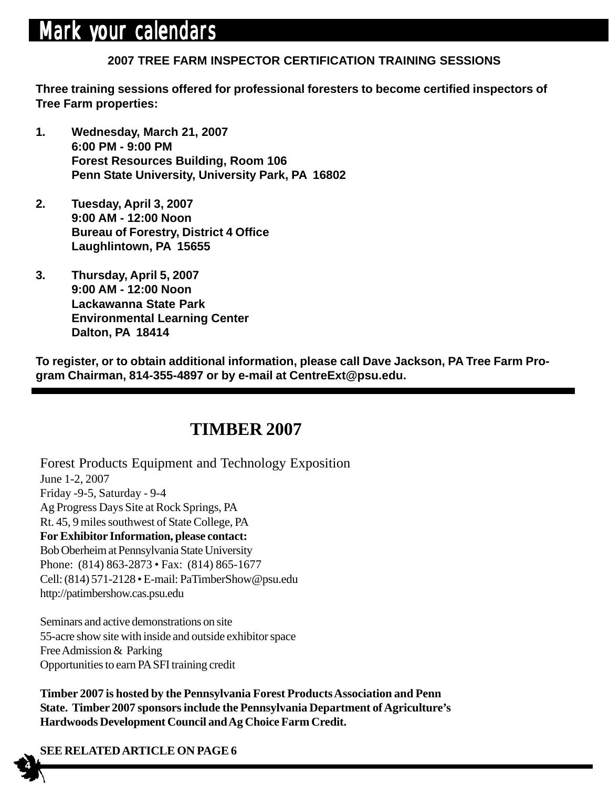# Mark your calendars

# **2007 TREE FARM INSPECTOR CERTIFICATION TRAINING SESSIONS**

**Three training sessions offered for professional foresters to become certified inspectors of Tree Farm properties:**

- **1. Wednesday, March 21, 2007 6:00 PM - 9:00 PM Forest Resources Building, Room 106 Penn State University, University Park, PA 16802**
- **2. Tuesday, April 3, 2007 9:00 AM - 12:00 Noon Bureau of Forestry, District 4 Office Laughlintown, PA 15655**
- **3. Thursday, April 5, 2007 9:00 AM - 12:00 Noon Lackawanna State Park Environmental Learning Center Dalton, PA 18414**

**To register, or to obtain additional information, please call Dave Jackson, PA Tree Farm Program Chairman, 814-355-4897 or by e-mail at CentreExt@psu.edu.**

## **TIMBER 2007**

Forest Products Equipment and Technology Exposition June 1-2, 2007 Friday -9-5, Saturday - 9-4 Ag Progress Days Site at Rock Springs, PA Rt. 45, 9 miles southwest of State College, PA **For Exhibitor Information, please contact:** Bob Oberheim at Pennsylvania State University Phone: (814) 863-2873 • Fax: (814) 865-1677 Cell: (814) 571-2128 • E-mail: PaTimberShow@psu.edu http://patimbershow.cas.psu.edu

Seminars and active demonstrations on site 55-acre show site with inside and outside exhibitor space Free Admission & Parking Opportunities to earn PA SFI training credit

**Timber 2007 is hosted by the Pennsylvania Forest Products Association and Penn State. Timber 2007 sponsors include the Pennsylvania Department of Agriculture's Hardwoods Development Council and Ag Choice Farm Credit.**

## **SEE RELATED ARTICLE ON PAGE 6**

 **4**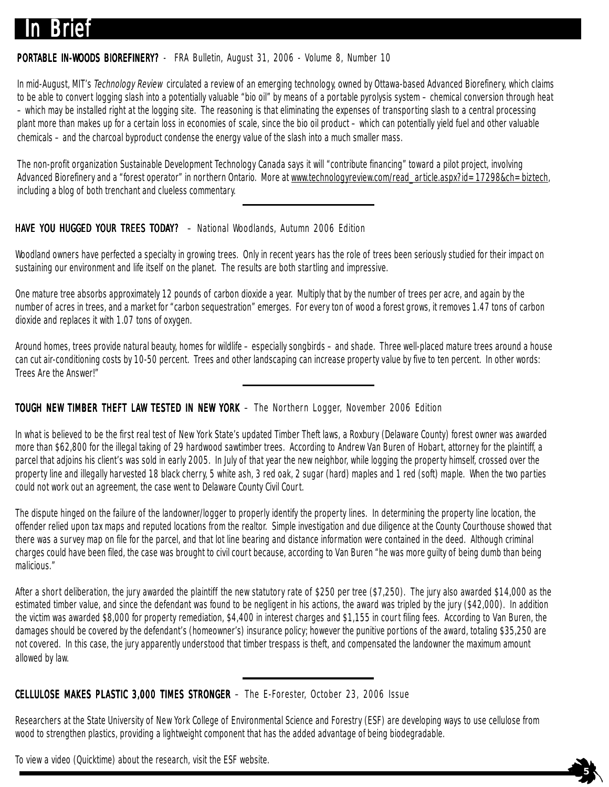# **In Brief**

#### **PORTABLE IN-WOODS BIOREFINERY?** - FRA Bulletin, August 31, 2006 - Volume 8, Number 10

In mid-August, MIT's Technology Review circulated a review of an emerging technology, owned by Ottawa-based Advanced Biorefinery, which claims to be able to convert logging slash into a potentially valuable "bio oil" by means of a portable pyrolysis system – chemical conversion through heat – which may be installed right at the logging site. The reasoning is that eliminating the expenses of transporting slash to a central processing plant more than makes up for a certain loss in economies of scale, since the bio oil product – which can potentially yield fuel and other valuable chemicals – and the charcoal byproduct condense the energy value of the slash into a much smaller mass.

The non-profit organization Sustainable Development Technology Canada says it will "contribute financing" toward a pilot project, involving Advanced Biorefinery and a "forest operator" in northern Ontario. More at www.technologyreview.com/read\_article.aspx?id=17298&ch=biztech, including a blog of both trenchant and clueless commentary.

#### HAVE YOU HUGGED YOUR TREES TODAY? - National Woodlands, Autumn 2006 Edition

Woodland owners have perfected a specialty in growing trees. Only in recent years has the role of trees been seriously studied for their impact on sustaining our environment and life itself on the planet. The results are both startling and impressive.

One mature tree absorbs approximately 12 pounds of carbon dioxide a year. Multiply that by the number of trees per acre, and again by the number of acres in trees, and a market for "carbon sequestration" emerges. For every ton of wood a forest grows, it removes 1.47 tons of carbon dioxide and replaces it with 1.07 tons of oxygen.

Around homes, trees provide natural beauty, homes for wildlife – especially songbirds – and shade. Three well-placed mature trees around a house can cut air-conditioning costs by 10-50 percent. Trees and other landscaping can increase property value by five to ten percent. In other words: Trees Are the Answer!"

#### TOUGH NEW TIMBER THEFT LAW TESTED IN NEW YORK – The Northern Logger, November 2006 Edition

In what is believed to be the first real test of New York State's updated Timber Theft laws, a Roxbury (Delaware County) forest owner was awarded more than \$62,800 for the illegal taking of 29 hardwood sawtimber trees. According to Andrew Van Buren of Hobart, attorney for the plaintiff, a parcel that adjoins his client's was sold in early 2005. In July of that year the new neighbor, while logging the property himself, crossed over the property line and illegally harvested 18 black cherry, 5 white ash, 3 red oak, 2 sugar (hard) maples and 1 red (soft) maple. When the two parties could not work out an agreement, the case went to Delaware County Civil Court.

The dispute hinged on the failure of the landowner/logger to properly identify the property lines. In determining the property line location, the offender relied upon tax maps and reputed locations from the realtor. Simple investigation and due diligence at the County Courthouse showed that there was a survey map on file for the parcel, and that lot line bearing and distance information were contained in the deed. Although criminal charges could have been filed, the case was brought to civil court because, according to Van Buren "he was more guilty of being dumb than being malicious."

After a short deliberation, the jury awarded the plaintiff the new statutory rate of \$250 per tree (\$7,250). The jury also awarded \$14,000 as the estimated timber value, and since the defendant was found to be negligent in his actions, the award was tripled by the jury (\$42,000). In addition the victim was awarded \$8,000 for property remediation, \$4,400 in interest charges and \$1,155 in court filing fees. According to Van Buren, the damages should be covered by the defendant's (homeowner's) insurance policy; however the punitive portions of the award, totaling \$35,250 are not covered. In this case, the jury apparently understood that timber trespass is theft, and compensated the landowner the maximum amount allowed by law.

#### CELLULOSE MAKES PLASTIC 3,000 TIMES STRONGER - The E-Forester, October 23, 2006 Issue

Researchers at the State University of New York College of Environmental Science and Forestry (ESF) are developing ways to use cellulose from wood to strengthen plastics, providing a lightweight component that has the added advantage of being biodegradable.

To view a video (Quicktime) about the research, visit the ESF website.

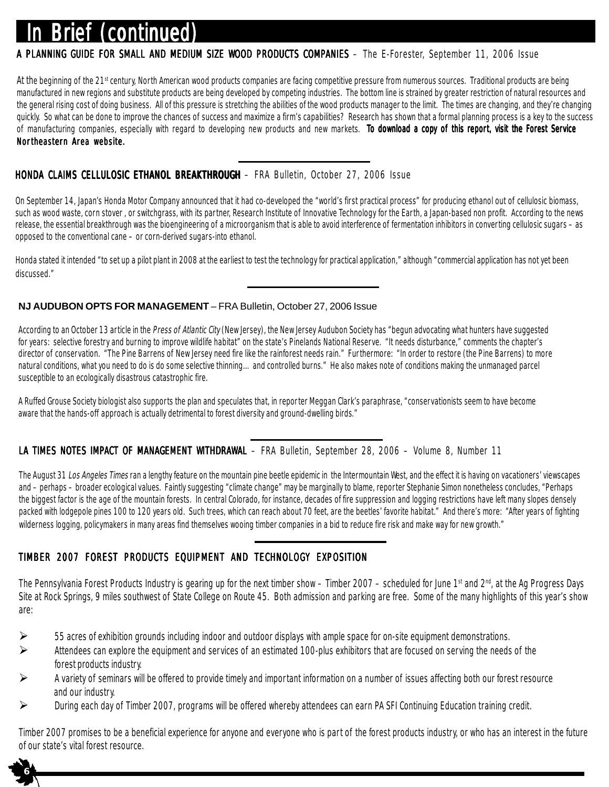# **Brief (continued)**

#### A PLANNING GUIDE FOR SMALL AND MEDIUM SIZE WOOD PRODUCTS COMPANIES – The E-Forester, September 11, 2006 Issue

At the beginning of the 21<sup>st</sup> century, North American wood products companies are facing competitive pressure from numerous sources. Traditional products are being manufactured in new regions and substitute products are being developed by competing industries. The bottom line is strained by greater restriction of natural resources and the general rising cost of doing business. All of this pressure is stretching the abilities of the wood products manager to the limit. The times are changing, and they're changing quickly. So what can be done to improve the chances of success and maximize a firm's capabilities? Research has shown that a formal planning process is a key to the success of manufacturing companies, especially with regard to developing new products and new markets. To download a copy of this report, visit the Forest Service Northeastern Area website.

#### HONDA CLAIMS CELLULOSIC ETHANOL BREAKTHROUGH - FRA Bulletin, October 27, 2006 Issue

On September 14, Japan's Honda Motor Company announced that it had co-developed the "world's first practical process" for producing ethanol out of cellulosic biomass, such as wood waste, corn stover, or switchgrass, with its partner, Research Institute of Innovative Technology for the Earth, a Japan-based non profit. According to the news release, the essential breakthrough was the bioengineering of a microorganism that is able to avoid interference of fermentation inhibitors in converting cellulosic sugars - as opposed to the conventional cane – or corn-derived sugars-into ethanol.

Honda stated it intended "to set up a pilot plant in 2008 at the earliest to test the technology for practical application," although "commercial application has not yet been discussed."

#### **NJ AUDUBON OPTS FOR MANAGEMENT** – FRA Bulletin, October 27, 2006 Issue

According to an October 13 article in the Press of Atlantic City (New Jersey), the New Jersey Audubon Society has "begun advocating what hunters have suggested for years: selective forestry and burning to improve wildlife habitat" on the state's Pinelands National Reserve. "It needs disturbance," comments the chapter's director of conservation. "The Pine Barrens of New Jersey need fire like the rainforest needs rain." Furthermore: "In order to restore (the Pine Barrens) to more natural conditions, what you need to do is do some selective thinning…and controlled burns." He also makes note of conditions making the unmanaged parcel susceptible to an ecologically disastrous catastrophic fire.

A Ruffed Grouse Society biologist also supports the plan and speculates that, in reporter Meggan Clark's paraphrase, "conservationists seem to have become aware that the hands-off approach is actually detrimental to forest diversity and ground-dwelling birds."

#### LA TIMES NOTES IMPACT OF MANAGEMENT WITHDRAWAL - FRA Bulletin, September 28, 2006 - Volume 8, Number 11

The August 31 Los Angeles Times ran a lengthy feature on the mountain pine beetle epidemic in the Intermountain West, and the effect it is having on vacationers' viewscapes and – perhaps – broader ecological values. Faintly suggesting "climate change" may be marginally to blame, reporter Stephanie Simon nonetheless concludes, "Perhaps the biggest factor is the age of the mountain forests. In central Colorado, for instance, decades of fire suppression and logging restrictions have left many slopes densely packed with lodgepole pines 100 to 120 years old. Such trees, which can reach about 70 feet, are the beetles' favorite habitat." And there's more: "After years of fighting wilderness logging, policymakers in many areas find themselves wooing timber companies in a bid to reduce fire risk and make way for new growth."

#### TIMBER 2007 FOREST PRODUCTS EQUIPMENT AND TECHNOLOGY EXPOSITION

 **6**

The Pennsylvania Forest Products Industry is gearing up for the next timber show – Timber 2007 – scheduled for June 1<sup>st</sup> and 2<sup>nd</sup>, at the Ag Progress Days Site at Rock Springs, 9 miles southwest of State College on Route 45. Both admission and parking are free. Some of the many highlights of this year's show are:

- 55 acres of exhibition grounds including indoor and outdoor displays with ample space for on-site equipment demonstrations.
- Attendees can explore the equipment and services of an estimated 100-plus exhibitors that are focused on serving the needs of the forest products industry.
- A variety of seminars will be offered to provide timely and important information on a number of issues affecting both our forest resource and our industry.
- During each day of Timber 2007, programs will be offered whereby attendees can earn PA SFI Continuing Education training credit.

Timber 2007 promises to be a beneficial experience for anyone and everyone who is part of the forest products industry, or who has an interest in the future of our state's vital forest resource.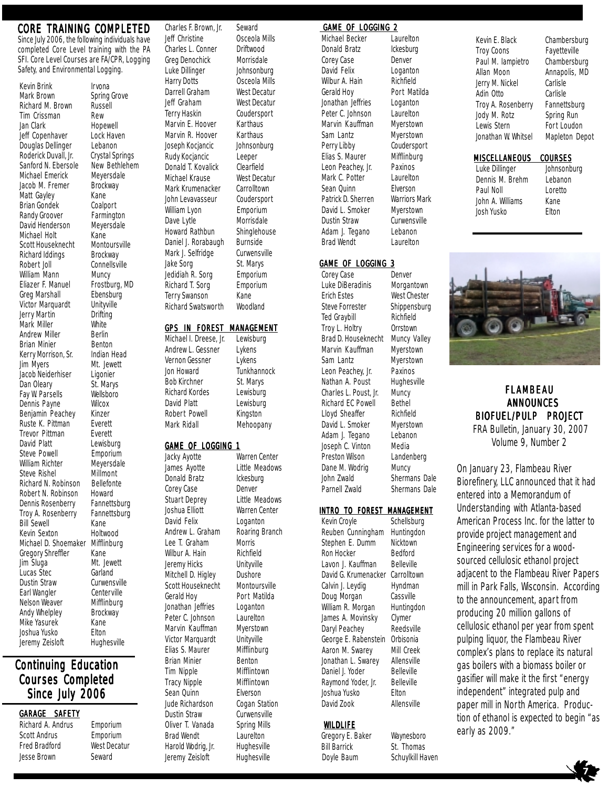#### CORE TRAINING COMPLETED

Since July 2006, the following individuals have completed Core Level training with the PA SFI. Core Level Courses are FA/CPR, Logging Safety, and Environmental Logging.

Kevin Brink Irvona<br>Mark Brown Spring Richard M. Brown Russ<br>Tim Crissman Rew Tim Crissman Jan Clark Hopewell Jeff Copenhaver Lock Haven Douglas Dellinger Lebanon<br>Roderick Duvall, Jr. Crystal Sr Sanford N. Ebersole New Bethlehem Michael Emerick Meyersdale Jacob M. Fremer Brockway Matt Gayley Kane Brian Gondek Coalport Randy Groover Farmington<br>David Henderson Meyersdale David Henderson Michael Holt Kane<br>Scott Houseknecht Montoursville Scott Houseknecht Richard Iddings Brockway<br>Robert Joll Connellsvi William Mann Muncy<br>Eliazer F. Manuel Frostbi Greg Marshall **Ebensbur**<br>Victor Marguardt **Unitwille** Victor Marquardt Unityvill<br>Jerry Martin Drifting Jerry Martin Mark Miller **White**<br>Andrew Miller **Berlin** Andrew Miller Berlin<br>Brian Minier Benton Brian Minier Benton<br>Kerry Morrison, Sr. Indian Head Kerry Morrison, Sr. Jim Myers Mt. Jewett Jacob Neiderhiser Ligonier<br>Dan Oleary St. Marys Dan Oleary St. Marys<br>
Fav W. Parsells Wellsboro Fay W. Parsells Wellsborous Wellsborous Payne Dennis Payne Wilcox<br>Benjamin Peachey Kinzer Benjamin Peachey Ruste K. Pittman Everett<br>Trevor Pittman Everett Trevor Pittman<br>David Platt Steve Powell William Richter Meyersdale<br>Steve Rishel Millmont Steve Rishel Millmont<br>Richard N. Robinson Bellefonte Richard N. Robinson Robert N. Robinson Howard<br>Dennis Rosenberry Fannettsburg Dennis Rosenberry Troy A. Rosenberry Fannettsburg Bill Sewell Kane<br>Kevin Sexton Holtwood Kevin Sexton Holtwood<br>Michael D. Shoemaker Mifflinburg Michael D. Shoemaker Gregory Shreffler Kane<br>
Jim Sluga Mt. Jo Lucas Stec Dustin Straw Curwensville<br>Earl Wangler Centerville Earl Wangler Nelson Weaver Mifflinburg Andy Whelpley Brockway Mike Yasurek **Kane**<br>Joshua Yusko Kane Joshua Yusko Jeremy Zeisloft Hughesville

**Continuing Education** Courses Completed Since July 2006

#### GARAGE SAFETY

Scott Andrus **Emporium** Fred Bradford West Decatur Jesse Brown Seward

Lewisburg<br>Emporium Mt. Jewett<br>Garland Richard A. Andrus Emporium

Spring Grove<br>Russell Crystal Springs Connellsville Frostburg, MD<br>Ebensburg

Charles F. Brown, Jr. Seward Jeff Christine Osceola Mills Charles L. Conner Driftwood Greg Denochick Morrisdale Luke Dillinger Johnsonburg Harry Dotts Osceola Mills Darrell Graham West Decatur Jeff Graham West Decatur Terry Haskin Coudersport Marvin E. Hoover Karthaus Marvin R. Hoover Karthaus Joseph Kocjancic Johnsonburg Rudy Kocjancic Leeper Donald T. Kovalick Clearfield Michael Krause West Decatur Mark Krumenacker Carrolltown John Levavasseur Coudersport William Lyon **Emporium** Dave Lytle Morrisdale Howard Rathbun Shinglehouse Daniel J. Rorabaugh Burnside Mark J. Selfridge Curwensville Jake Sorg St. Marys Jedidiah R. Sorg Emporium Richard T. Sorg Emporium Terry Swanson Kane Richard Swatsworth Woodland

#### GPS IN FOREST MANAGEMENT

#### GAME OF LOGGING 1

Jacky Ayotte Warren Center Donald Bratz

St. Marys

- Michael I. Dreese, Jr. Lewisburg
- Andrew L. Gessner Lykens Vernon Gessner Lykens<br>Ion Howard Tunkha Jon Howard **Tunkhannock**<br> **Rob Kirchner** St Marys Richard Kordes Lewisburg David Platt Lewisburg

Robert Powell Kingston Mark Ridall Mehoopany

James Ayotte Little Meadows<br>Donald Bratz Ckesburg Corey Case Denver Stuart Deprey Little Meadows Joshua Elliott Warren Center David Felix Loganton Andrew L. Graham Roaring Branch Lee T. Graham Morris Wilbur A. Hain Richfield Jeremy Hicks Unityville Mitchell D. Higley Dushore Scott Houseknecht Montoursville Gerald Hoy Port Matilda Jonathan Jeffries Loganton Peter C. Johnson Laurelton Marvin Kauffman Myerstown Victor Marquardt Unityville Elias S. Maurer Mifflinburg Brian Minier Benton Tim Nipple Mifflintown Tracy Nipple Mifflintown Sean Quinn Elverson Jude Richardson Cogan Station Dustin Straw Curwensville Oliver T. Vanada Spring Mills Brad Wendt Laurelton Harold Wodrig, Jr. Hughesville

Jeremy Zeisloft Hughesville

#### GAME OF LOGGING 2

Michael Becker Laurelton Donald Bratz Ickesburg Corey Case Denver David Felix Loganton Wilbur A. Hain Richfield Gerald Hoy **Port Matilda** Jonathan Jeffries Loganton Peter C. Johnson Laurelton Marvin Kauffman Myerstown Sam Lantz Myerstown Perry Libby Coudersport Elias S. Maurer Mifflinburg Leon Peachey, Jr. Paxinos Mark C. Potter Laurelton Sean Quinn Elverson Patrick D. Sherren Warriors Mark David L. Smoker Myerstown Dustin Straw Curwensville Adam J. Tegano Lebanon Brad Wendt Laurelton

#### GAME OF LOGGING 3

Luke DiBeradinis Morgantown Erich Estes West Chester Steve Forrester Shippensburg Ted Graybill Richfield Troy L. Holtry Orrstown Brad D. Houseknecht Muncy Valley Marvin Kauffman Myerstown Sam Lantz Myerstown Leon Peachey, Jr. Paxinos Nathan A. Poust Hughesville Charles L. Poust, Jr. Muncy Richard EC Powell Bethel Lloyd Sheaffer Richfield David L. Smoker Myerstown Adam J. Tegano Lebanon Joseph C. Vinton Media Preston Wilson Landenberg Dane M. Wodrig Muncy John Zwald Shermans Dale Parnell Zwald Shermans Dale

#### INTRO TO FOREST MANAGEMENT

Kevin Croyle Schellsburg Reuben Cunningham Huntingdon Stephen E. Dumm Nicktown Ron Hocker **Bedford** Lavon J. Kauffman Belleville David G. Krumenacker Carrolltown Calvin J. Leydig Hyndman Doug Morgan Cassville William R. Morgan Huntingdon James A. Movinsky Clymer Daryl Peachey Reedsville George E. Rabenstein Orbisonia Aaron M. Swarey Mill Creek Jonathan L. Swarey Allensville Daniel J. Yoder Belleville<br>Raymond Yoder, Jr. Belleville Raymond Yoder, Jr. Joshua Yusko Elton

#### WILDLIFE

Corey Case Denver

Jerry M. Nickel Carlisle Adin Otto Carlisle

Kevin E. Black Chambersburg Troy Coons Fayetteville Paul M. Iampietro Chambersburg Allan Moon Annapolis, MD Troy A. Rosenberry Fannettsburg Jody M. Rotz Spring Run Lewis Stern Fort Loudon Jonathan W. Whitsel Mapleton Depot

#### MISCELLANEOUS COURSES

Luke Dillinger Johnsonburg Dennis M. Brehm Lebanon Paul Noll Loretto John A. Williams Kane Josh Yusko Elton



FLAMBEAU ANNOUNCES BIOFUEL/PULP PROJECT

 FRA Bulletin, January 30, 2007 Volume 9, Number 2

On January 23, Flambeau River Biorefinery, LLC announced that it had entered into a Memorandum of Understanding with Atlanta-based American Process Inc. for the latter to provide project management and Engineering services for a woodsourced cellulosic ethanol project adjacent to the Flambeau River Papers mill in Park Falls, Wisconsin. According to the announcement, apart from producing 20 million gallons of cellulosic ethanol per year from spent pulping liquor, the Flambeau River complex's plans to replace its natural gas boilers with a biomass boiler or gasifier will make it the first "energy independent" integrated pulp and paper mill in North America. Production of ethanol is expected to begin "as early as 2009."



# David Zook Allensville

Gregory E. Baker Waynesboro Bill Barrick St. Thomas Doyle Baum Schuylkill Haven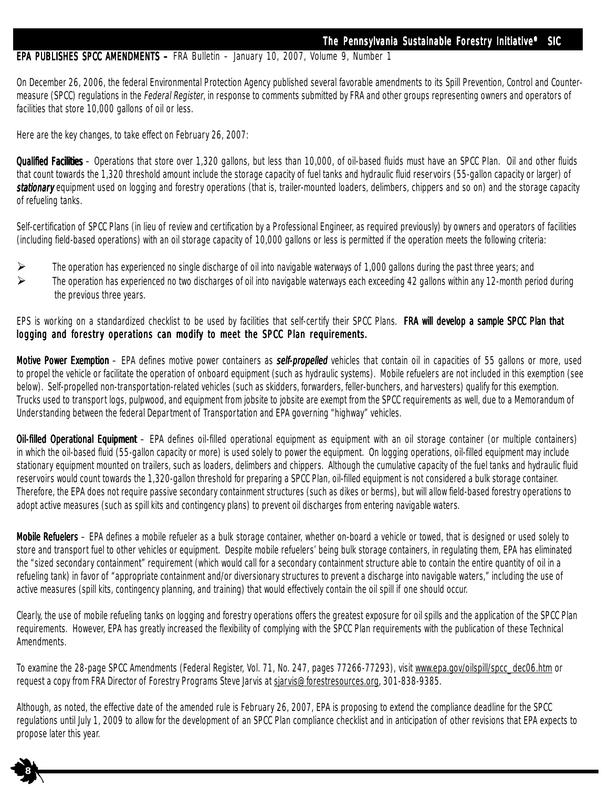#### EPA PUBLISHES SPCC AMENDMENTS - FRA Bulletin - January 10, 2007, Volume 9, Number 1

On December 26, 2006, the federal Environmental Protection Agency published several favorable amendments to its Spill Prevention, Control and Countermeasure (SPCC) regulations in the Federal Register, in response to comments submitted by FRA and other groups representing owners and operators of facilities that store 10,000 gallons of oil or less.

Here are the key changes, to take effect on February 26, 2007:

<sup>11</sup>

**8**

Qualified Facilities – Operations that store over 1,320 gallons, but less than 10,000, of oil-based fluids must have an SPCC Plan. Oil and other fluids that count towards the 1,320 threshold amount include the storage capacity of fuel tanks and hydraulic fluid reservoirs (55-gallon capacity or larger) of stationary equipment used on logging and forestry operations (that is, trailer-mounted loaders, delimbers, chippers and so on) and the storage capacity of refueling tanks.

Self-certification of SPCC Plans (in lieu of review and certification by a Professional Engineer, as required previously) by owners and operators of facilities (including field-based operations) with an oil storage capacity of 10,000 gallons or less is permitted if the operation meets the following criteria:

- $\triangleright$  The operation has experienced no single discharge of oil into navigable waterways of 1,000 gallons during the past three years; and
- $\triangleright$  The operation has experienced no two discharges of oil into navigable waterways each exceeding 42 gallons within any 12-month period during the previous three years.

EPS is working on a standardized checklist to be used by facilities that self-certify their SPCC Plans. FRA will develop a sample SPCC Plan that logging and forestry operations can modify to meet the SPCC Plan requirements.

Motive Power Exemption – EPA defines motive power containers as *self-propelled* vehicles that contain oil in capacities of 55 gallons or more, used to propel the vehicle or facilitate the operation of onboard equipment (such as hydraulic systems). Mobile refuelers are not included in this exemption (see below). Self-propelled non-transportation-related vehicles (such as skidders, forwarders, feller-bunchers, and harvesters) qualify for this exemption. Trucks used to transport logs, pulpwood, and equipment from jobsite to jobsite are exempt from the SPCC requirements as well, due to a Memorandum of Understanding between the federal Department of Transportation and EPA governing "highway" vehicles.

Oil-filled Operational Equipment – EPA defines oil-filled operational equipment as equipment with an oil storage container (or multiple containers) in which the oil-based fluid (55-gallon capacity or more) is used solely to power the equipment. On logging operations, oil-filled equipment may include stationary equipment mounted on trailers, such as loaders, delimbers and chippers. Although the cumulative capacity of the fuel tanks and hydraulic fluid reservoirs would count towards the 1,320-gallon threshold for preparing a SPCC Plan, oil-filled equipment is not considered a bulk storage container. Therefore, the EPA does not require passive secondary containment structures (such as dikes or berms), but will allow field-based forestry operations to adopt active measures (such as spill kits and contingency plans) to prevent oil discharges from entering navigable waters.

**Mobile Refuelers** – EPA defines a mobile refueler as a bulk storage container, whether on-board a vehicle or towed, that is designed or used solely to store and transport fuel to other vehicles or equipment. Despite mobile refuelers' being bulk storage containers, in regulating them, EPA has eliminated the "sized secondary containment" requirement (which would call for a secondary containment structure able to contain the entire quantity of oil in a refueling tank) in favor of "appropriate containment and/or diversionary structures to prevent a discharge into navigable waters," including the use of active measures (spill kits, contingency planning, and training) that would effectively contain the oil spill if one should occur.

Clearly, the use of mobile refueling tanks on logging and forestry operations offers the greatest exposure for oil spills and the application of the SPCC Plan requirements. However, EPA has greatly increased the flexibility of complying with the SPCC Plan requirements with the publication of these Technical **Amendments** 

To examine the 28-page SPCC Amendments (Federal Register, Vol. 71, No. 247, pages 77266-77293), visit www.epa.gov/oilspill/spcc\_dec06.htm or request a copy from FRA Director of Forestry Programs Steve Jarvis at sjarvis@forestresources.org, 301-838-9385.

Although, as noted, the effective date of the amended rule is February 26, 2007, EPA is proposing to extend the compliance deadline for the SPCC regulations until July 1, 2009 to allow for the development of an SPCC Plan compliance checklist and in anticipation of other revisions that EPA expects to propose later this year.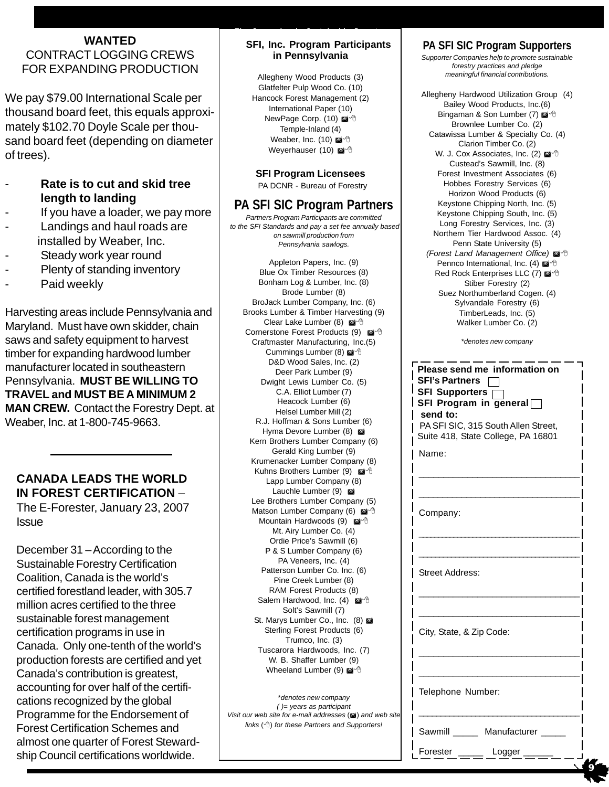#### **WANTED** CONTRACT LOGGING CREWS FOR EXPANDING PRODUCTION

We pay \$79.00 International Scale per thousand board feet, this equals approximately \$102.70 Doyle Scale per thousand board feet (depending on diameter of trees).

- **Rate is to cut and skid tree length to landing**
- If you have a loader, we pay more
- Landings and haul roads are installed by Weaber, Inc.
- Steady work year round
- Plenty of standing inventory
- Paid weekly

Harvesting areas include Pennsylvania and Maryland. Must have own skidder, chain saws and safety equipment to harvest timber for expanding hardwood lumber manufacturer located in southeastern Pennsylvania. **MUST BE WILLING TO TRAVEL and MUST BE A MINIMUM 2 MAN CREW.** Contact the Forestry Dept. at Weaber, Inc. at 1-800-745-9663.

#### **CANADA LEADS THE WORLD IN FOREST CERTIFICATION** –

The E-Forester, January 23, 2007 **Issue** 

December 31 – According to the Sustainable Forestry Certification Coalition, Canada is the world's certified forestland leader, with 305.7 million acres certified to the three sustainable forest management certification programs in use in Canada. Only one-tenth of the world's production forests are certified and yet Canada's contribution is greatest, accounting for over half of the certifications recognized by the global Programme for the Endorsement of Forest Certification Schemes and almost one quarter of Forest Stewardship Council certifications worldwide.

#### **SFI, Inc. Program Participants in Pennsylvania**

Allegheny Wood Products (3) Glatfelter Pulp Wood Co. (10) Hancock Forest Management (2) International Paper (10) NewPage Corp. (10) Temple-Inland (4) Weaber, Inc. (10) Weyerhauser (10)

#### **SFI Program Licensees**

PA DCNR - Bureau of Forestry

#### **PA SFI SIC Program Partners**

*Partners Program Participants are committed to the SFI Standards and pay a set fee annually based on sawmill production from Pennsylvania sawlogs.*

Appleton Papers, Inc. (9) Blue Ox Timber Resources (8) Bonham Log & Lumber, Inc. (8) Brode Lumber (8) BroJack Lumber Company, Inc. (6) Brooks Lumber & Timber Harvesting (9) Clear Lake Lumber (8) Cornerstone Forest Products (9) Craftmaster Manufacturing, Inc.(5) Cummings Lumber (8) @ <sup>+</sup> D&D Wood Sales, Inc. (2) Deer Park Lumber (9) Dwight Lewis Lumber Co. (5) C.A. Elliot Lumber (7) Heacock Lumber (6) Helsel Lumber Mill (2) R.J. Hoffman & Sons Lumber (6) Hyma Devore Lumber (8) Kern Brothers Lumber Company (6) Gerald King Lumber (9) Krumenacker Lumber Company (8) Kuhns Brothers Lumber (9) Lapp Lumber Company (8) Lauchle Lumber (9) Lee Brothers Lumber Company (5) Matson Lumber Company (6) Mountain Hardwoods (9) Mt. Airy Lumber Co. (4) Ordie Price's Sawmill (6) P & S Lumber Company (6) PA Veneers, Inc. (4) Patterson Lumber Co. Inc. (6) Pine Creek Lumber (8) RAM Forest Products (8) Salem Hardwood, Inc. (4) @<sup>-</sup> Solt's Sawmill (7) St. Marys Lumber Co., Inc. (8) Sterling Forest Products (6) Trumco, Inc. (3) Tuscarora Hardwoods, Inc. (7) W. B. Shaffer Lumber (9) Wheeland Lumber (9) @<sup>-</sup>

\**denotes new company ( )= years as participant Visit our web site for e-mail addresses* ( $\mathbf{a}$ ) and web site *links* () *for these Partners and Supporters!*

#### **PA SFI SIC Program Supporters**

*Supporter Companies help to promote sustainable forestry practices and pledge meaningful financial contributions.*

Allegheny Hardwood Utilization Group (4) Bailey Wood Products, Inc.(6) Bingaman & Son Lumber (7) @ 8 Brownlee Lumber Co. (2) Catawissa Lumber & Specialty Co. (4) Clarion Timber Co. (2) W. J. Cox Associates, Inc. (2) @ <sup>+</sup> Custead's Sawmill, Inc. (8) Forest Investment Associates (6) Hobbes Forestry Services (6) Horizon Wood Products (6) Keystone Chipping North, Inc. (5) Keystone Chipping South, Inc. (5) Long Forestry Services, Inc. (3) Northern Tier Hardwood Assoc. (4) Penn State University (5) **(Forest Land Management Office)**  $\mathbb{Z}^4$ Pennco International, Inc. (4) Red Rock Enterprises LLC (7) @ 8 Stiber Forestry (2) Suez Northumberland Cogen. (4) Sylvandale Forestry (6) TimberLeads, Inc. (5) Walker Lumber Co. (2)

\**denotes new company*

| 6)<br>3)    | Please send me information on<br><b>SFI's Partners</b><br>SFI Supporters $\sqcap$<br>SFI Program in general<br>send to:<br>PA SFI SIC, 315 South Allen Street,<br>Suite 418, State College, PA 16801<br>Name: |
|-------------|---------------------------------------------------------------------------------------------------------------------------------------------------------------------------------------------------------------|
| 5)<br>ħ     | Company:                                                                                                                                                                                                      |
|             | <b>Street Address:</b>                                                                                                                                                                                        |
|             | City, State, & Zip Code:                                                                                                                                                                                      |
| I web sitel | Telephone Number:                                                                                                                                                                                             |
| ers!        | Sawmill Manufacturer<br>Forester<br>Logger                                                                                                                                                                    |

 **9**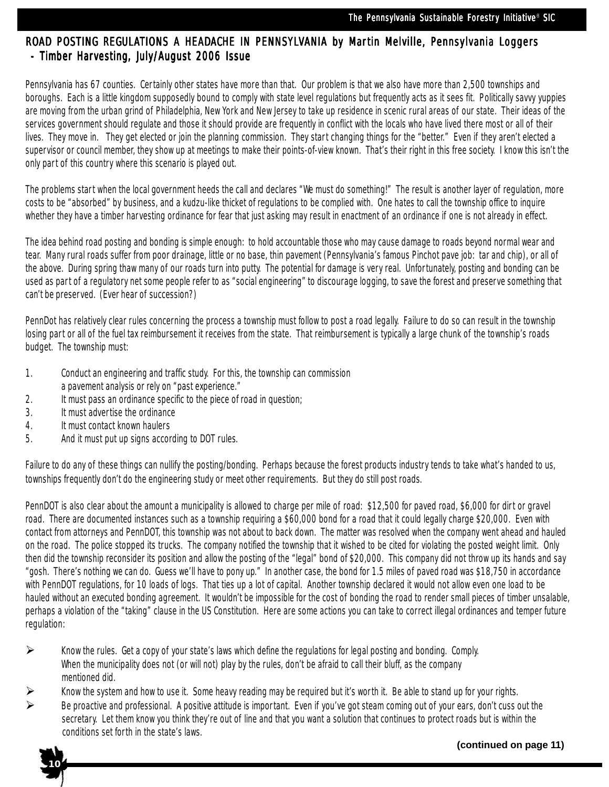#### ROAD POSTING REGULATIONS A HEADACHE IN PENNSYLVANIA by Martin Melville, Pennsylvania Loggers - Timber Harvesting, July/August 2006 Issue

Pennsylvania has 67 counties. Certainly other states have more than that. Our problem is that we also have more than 2,500 townships and boroughs. Each is a little kingdom supposedly bound to comply with state level regulations but frequently acts as it sees fit. Politically savvy yuppies are moving from the urban grind of Philadelphia, New York and New Jersey to take up residence in scenic rural areas of our state. Their ideas of the services government should regulate and those it should provide are frequently in conflict with the locals who have lived there most or all of their lives. They move in. They get elected or join the planning commission. They start changing things for the "better." Even if they aren't elected a supervisor or council member, they show up at meetings to make their points-of-view known. That's their right in this free society. I know this isn't the only part of this country where this scenario is played out.

The problems start when the local government heeds the call and declares "We must do something!" The result is another layer of regulation, more costs to be "absorbed" by business, and a kudzu-like thicket of regulations to be complied with. One hates to call the township office to inquire whether they have a timber harvesting ordinance for fear that just asking may result in enactment of an ordinance if one is not already in effect.

The idea behind road posting and bonding is simple enough: to hold accountable those who may cause damage to roads beyond normal wear and tear. Many rural roads suffer from poor drainage, little or no base, thin pavement (Pennsylvania's famous Pinchot pave job: tar and chip), or all of the above. During spring thaw many of our roads turn into putty. The potential for damage is very real. Unfortunately, posting and bonding can be used as part of a regulatory net some people refer to as "social engineering" to discourage logging, to save the forest and preserve something that can't be preserved. (Ever hear of succession?)

PennDot has relatively clear rules concerning the process a township must follow to post a road legally. Failure to do so can result in the township losing part or all of the fuel tax reimbursement it receives from the state. That reimbursement is typically a large chunk of the township's roads budget. The township must:

- 1. Conduct an engineering and traffic study. For this, the township can commission
- a pavement analysis or rely on "past experience."
- 2. It must pass an ordinance specific to the piece of road in question;
- 3. It must advertise the ordinance
- 4. It must contact known haulers
- 5. And it must put up signs according to DOT rules.

Failure to do any of these things can nullify the posting/bonding. Perhaps because the forest products industry tends to take what's handed to us, townships frequently don't do the engineering study or meet other requirements. But they do still post roads.

PennDOT is also clear about the amount a municipality is allowed to charge per mile of road: \$12,500 for paved road, \$6,000 for dirt or gravel road. There are documented instances such as a township requiring a \$60,000 bond for a road that it could legally charge \$20,000. Even with contact from attorneys and PennDOT, this township was not about to back down. The matter was resolved when the company went ahead and hauled on the road. The police stopped its trucks. The company notified the township that it wished to be cited for violating the posted weight limit. Only then did the township reconsider its position and allow the posting of the "legal" bond of \$20,000. This company did not throw up its hands and say "gosh. There's nothing we can do. Guess we'll have to pony up." In another case, the bond for 1.5 miles of paved road was \$18,750 in accordance with PennDOT regulations, for 10 loads of logs. That ties up a lot of capital. Another township declared it would not allow even one load to be hauled without an executed bonding agreement. It wouldn't be impossible for the cost of bonding the road to render small pieces of timber unsalable, perhaps a violation of the "taking" clause in the US Constitution. Here are some actions you can take to correct illegal ordinances and temper future regulation:

- $\triangleright$  Know the rules. Get a copy of your state's laws which define the regulations for legal posting and bonding. Comply. When the municipality does not (or will not) play by the rules, don't be afraid to call their bluff, as the company mentioned did.
- $\triangleright$  Know the system and how to use it. Some heavy reading may be required but it's worth it. Be able to stand up for your rights.
- Be proactive and professional. A positive attitude is important. Even if you've got steam coming out of your ears, don't cuss out the secretary. Let them know you think they're out of line and that you want a solution that continues to protect roads but is within the conditions set forth in the state's laws.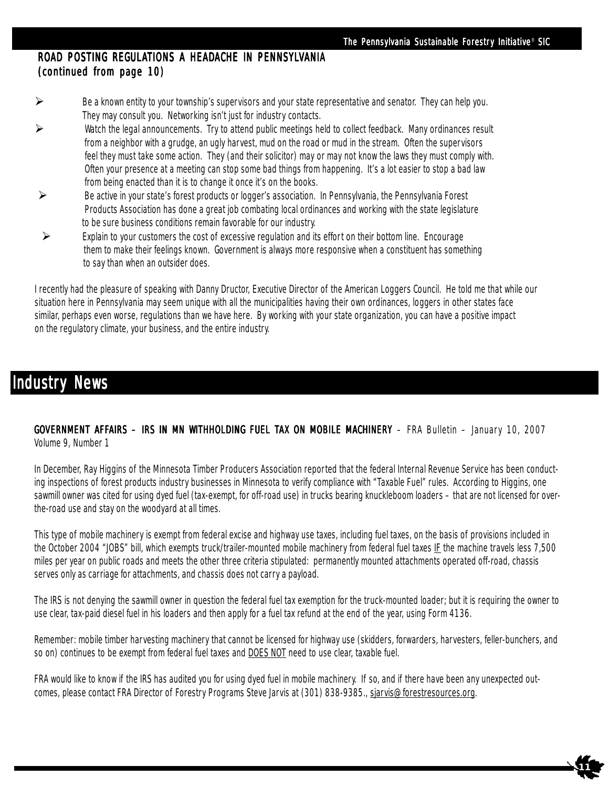**11**

#### ROAD POSTING REGULATIONS A HEADACHE IN PENNSYLVANIA  $(continued from page 10)$

- $\triangleright$  Be a known entity to your township's supervisors and your state representative and senator. They can help you. They may consult you. Networking isn't just for industry contacts.
- Watch the legal announcements. Try to attend public meetings held to collect feedback. Many ordinances result from a neighbor with a grudge, an ugly harvest, mud on the road or mud in the stream. Often the supervisors feel they must take some action. They (and their solicitor) may or may not know the laws they must comply with. Often your presence at a meeting can stop some bad things from happening. It's a lot easier to stop a bad law from being enacted than it is to change it once it's on the books.
- Be active in your state's forest products or logger's association. In Pennsylvania, the Pennsylvania Forest Products Association has done a great job combating local ordinances and working with the state legislature to be sure business conditions remain favorable for our industry.
- $\triangleright$  Explain to your customers the cost of excessive regulation and its effort on their bottom line. Encourage them to make their feelings known. Government is always more responsive when a constituent has something to say than when an outsider does.

I recently had the pleasure of speaking with Danny Dructor, Executive Director of the American Loggers Council. He told me that while our situation here in Pennsylvania may seem unique with all the municipalities having their own ordinances, loggers in other states face similar, perhaps even worse, regulations than we have here. By working with your state organization, you can have a positive impact on the regulatory climate, your business, and the entire industry.

## **Industry News**

GOVERNMENT AFFAIRS – IRS IN MN WITHHOLDING FUEL TAX ON MOBILE MACHINERY – FRA Bulletin – January 10, 2007 Volume 9, Number 1

In December, Ray Higgins of the Minnesota Timber Producers Association reported that the federal Internal Revenue Service has been conducting inspections of forest products industry businesses in Minnesota to verify compliance with "Taxable Fuel" rules. According to Higgins, one sawmill owner was cited for using dyed fuel (tax-exempt, for off-road use) in trucks bearing knuckleboom loaders – that are not licensed for overthe-road use and stay on the woodyard at all times.

This type of mobile machinery is exempt from federal excise and highway use taxes, including fuel taxes, on the basis of provisions included in the October 2004 "JOBS" bill, which exempts truck/trailer-mounted mobile machinery from federal fuel taxes IF the machine travels less 7,500 miles per year on public roads and meets the other three criteria stipulated: permanently mounted attachments operated off-road, chassis serves only as carriage for attachments, and chassis does not carry a payload.

The IRS is not denying the sawmill owner in question the federal fuel tax exemption for the truck-mounted loader; but it is requiring the owner to use clear, tax-paid diesel fuel in his loaders and then apply for a fuel tax refund at the end of the year, using Form 4136.

Remember: mobile timber harvesting machinery that cannot be licensed for highway use (skidders, forwarders, harvesters, feller-bunchers, and so on) continues to be exempt from federal fuel taxes and DOES NOT need to use clear, taxable fuel.

FRA would like to know if the IRS has audited you for using dyed fuel in mobile machinery. If so, and if there have been any unexpected outcomes, please contact FRA Director of Forestry Programs Steve Jarvis at (301) 838-9385., sjarvis@forestresources.org.